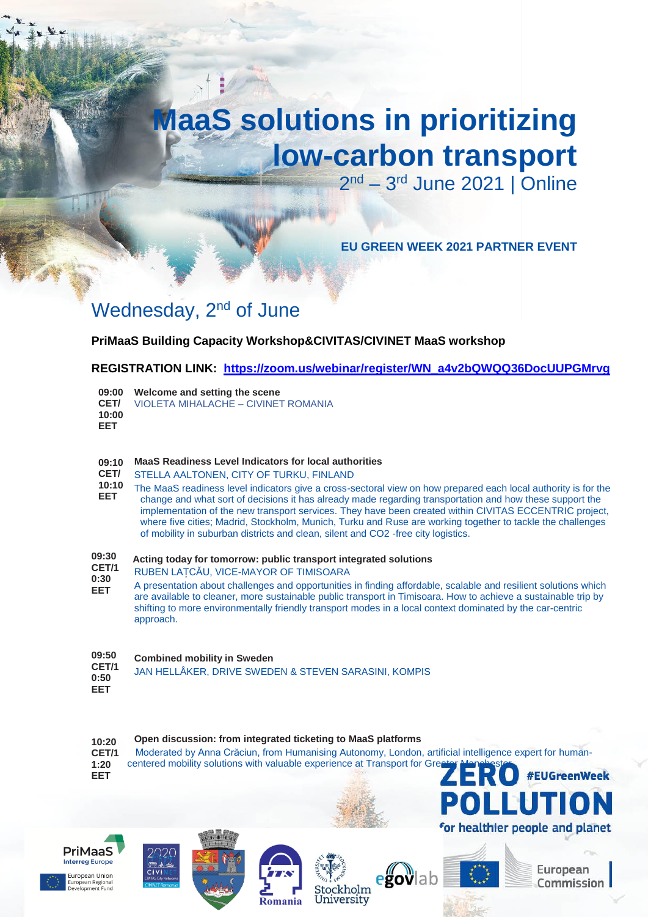# **MaaS solutions in prioritizing low-carbon transport**

2<sup>nd</sup> – 3<sup>rd</sup> June 2021 | Online

**EU GREEN WEEK 2021 PARTNER EVENT**

## Wednesday, 2<sup>nd</sup> of June

### **PriMaaS Building Capacity Workshop&CIVITAS/CIVINET MaaS workshop**

**REGISTRATION LINK: [https://zoom.us/webinar/register/WN\\_a4v2bQWQQ36DocUUPGMrvg](https://zoom.us/webinar/register/WN_a4v2bQWQQ36DocUUPGMrvg)**

|            | 09:00 Welcome and setting the scene             |
|------------|-------------------------------------------------|
|            | <b>CET/</b> VIOLETA MIHALACHE - CIVINET ROMANIA |
| 10:00      |                                                 |
| <b>EET</b> |                                                 |

### **09:10 MaaS Readiness Level Indicators for local authorities**

- **CET/** STELLA AALTONEN, CITY OF TURKU, FINLAND
- **10:10 EET** The MaaS readiness level indicators give a cross-sectoral view on how prepared each local authority is for the change and what sort of decisions it has already made regarding transportation and how these support the implementation of the new transport services. They have been created within CIVITAS ECCENTRIC project, where five cities; Madrid, Stockholm, Munich, Turku and Ruse are working together to tackle the challenges of mobility in suburban districts and clean, silent and CO2 -free city logistics.

#### **09:30 Acting today for tomorrow: public transport integrated solutions**

- **CET/1 0:30** RUBEN LAȚCĂU, VICE-MAYOR OF TIMISOARA
- **EET** A presentation about challenges and opportunities in finding affordable, scalable and resilient solutions which are available to cleaner, more sustainable public transport in Timisoara. How to achieve a sustainable trip by shifting to more environmentally friendly transport modes in a local context dominated by the car-centric approach.

#### **09:50 Combined mobility in Sweden**

**CET/1 0:50** JAN HELLÅKER, DRIVE SWEDEN & STEVEN SARASINI, KOMPIS

**EET**

#### **10:20 Open discussion: from integrated ticketing to MaaS platforms**

**CET/1 1:20** Moderated by Anna Crăciun, from Humanising Autonomy, London, artificial intelligence expert for human-



centered mobility solutions with valuable experience at Transport for Greater Manchester.













European Commission